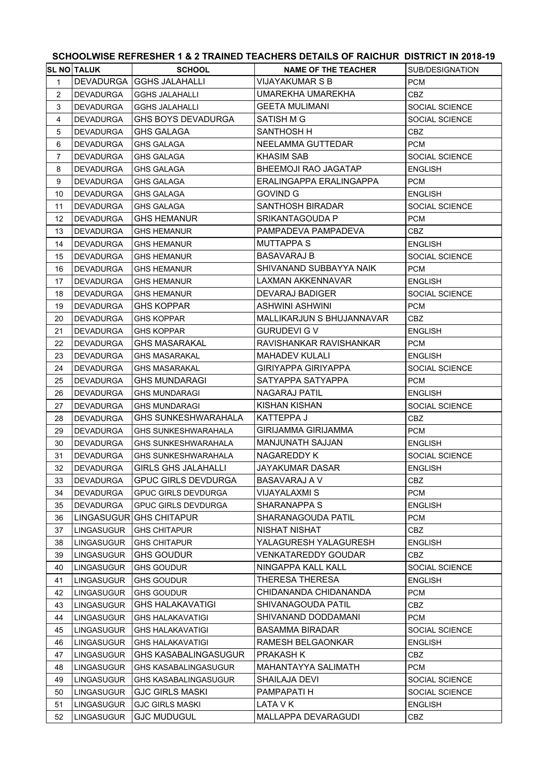|                         |                    |                             | SUNUULWISE REFRESNER 1 & 2 TRAINED TEAUNERS DETAILS OF RAIUNUR. DISTRIUT IN 2018-19 |                       |
|-------------------------|--------------------|-----------------------------|-------------------------------------------------------------------------------------|-----------------------|
|                         | <b>SL NO TALUK</b> | <b>SCHOOL</b>               | <b>NAME OF THE TEACHER</b>                                                          | SUB/DESIGNATION       |
| $\mathbf{1}$            | DEVADURGA          | GGHS JALAHALLI              | <b>VIJAYAKUMAR S B</b>                                                              | <b>PCM</b>            |
| $\overline{2}$          | <b>DEVADURGA</b>   | <b>GGHS JALAHALLI</b>       | UMAREKHA UMAREKHA                                                                   | <b>CBZ</b>            |
| 3                       | DEVADURGA          | <b>GGHS JALAHALLI</b>       | <b>GEETA MULIMANI</b>                                                               | SOCIAL SCIENCE        |
| $\overline{\mathbf{4}}$ | <b>DEVADURGA</b>   | GHS BOYS DEVADURGA          | SATISH M G                                                                          | SOCIAL SCIENCE        |
| 5                       | <b>DEVADURGA</b>   | <b>GHS GALAGA</b>           | SANTHOSH H                                                                          | <b>CBZ</b>            |
| 6                       | <b>DEVADURGA</b>   | <b>GHS GALAGA</b>           | NEELAMMA GUTTEDAR                                                                   | <b>PCM</b>            |
| $\overline{7}$          | <b>DEVADURGA</b>   | GHS GALAGA                  | <b>KHASIM SAB</b>                                                                   | SOCIAL SCIENCE        |
| 8                       | <b>DEVADURGA</b>   | GHS GALAGA                  | <b>BHEEMOJI RAO JAGATAP</b>                                                         | <b>ENGLISH</b>        |
| 9                       | <b>DEVADURGA</b>   | <b>GHS GALAGA</b>           | ERALINGAPPA ERALINGAPPA                                                             | <b>PCM</b>            |
| 10                      | <b>DEVADURGA</b>   | <b>GHS GALAGA</b>           | GOVIND G                                                                            | <b>ENGLISH</b>        |
| 11                      | <b>DEVADURGA</b>   | GHS GALAGA                  | <b>SANTHOSH BIRADAR</b>                                                             | SOCIAL SCIENCE        |
| 12                      | <b>DEVADURGA</b>   | <b>GHS HEMANUR</b>          | SRIKANTAGOUDA P                                                                     | <b>PCM</b>            |
| 13                      | <b>DEVADURGA</b>   | <b>GHS HEMANUR</b>          | PAMPADEVA PAMPADEVA                                                                 | CBZ.                  |
| 14                      | <b>DEVADURGA</b>   | <b>GHS HEMANUR</b>          | <b>MUTTAPPA S</b>                                                                   | <b>ENGLISH</b>        |
| 15                      | <b>DEVADURGA</b>   | <b>GHS HEMANUR</b>          | <b>BASAVARAJ B</b>                                                                  | SOCIAL SCIENCE        |
| 16                      | <b>DEVADURGA</b>   | <b>GHS HEMANUR</b>          | SHIVANAND SUBBAYYA NAIK                                                             | <b>PCM</b>            |
| 17                      | <b>DEVADURGA</b>   | <b>GHS HEMANUR</b>          | <b>LAXMAN AKKENNAVAR</b>                                                            | <b>ENGLISH</b>        |
| 18                      | <b>DEVADURGA</b>   | <b>GHS HEMANUR</b>          | <b>DEVARAJ BADIGER</b>                                                              | <b>SOCIAL SCIENCE</b> |
| 19                      | <b>DEVADURGA</b>   | <b>GHS KOPPAR</b>           | ASHWINI ASHWINI                                                                     | <b>PCM</b>            |
| 20                      | <b>DEVADURGA</b>   | <b>GHS KOPPAR</b>           | MALLIKARJUN S BHUJANNAVAR                                                           | CBZ.                  |
| 21                      | <b>DEVADURGA</b>   | <b>GHS KOPPAR</b>           | <b>GURUDEVI G V</b>                                                                 | <b>ENGLISH</b>        |
| 22                      | <b>DEVADURGA</b>   | <b>GHS MASARAKAL</b>        | RAVISHANKAR RAVISHANKAR                                                             | <b>PCM</b>            |
| 23                      | <b>DEVADURGA</b>   | <b>GHS MASARAKAL</b>        | <b>MAHADEV KULALI</b>                                                               | <b>ENGLISH</b>        |
| 24                      | <b>DEVADURGA</b>   | <b>GHS MASARAKAL</b>        | <b>GIRIYAPPA GIRIYAPPA</b>                                                          | SOCIAL SCIENCE        |
| 25                      | <b>DEVADURGA</b>   | <b>GHS MUNDARAGI</b>        | SATYAPPA SATYAPPA                                                                   | <b>PCM</b>            |
| 26                      | <b>DEVADURGA</b>   | <b>GHS MUNDARAGI</b>        | NAGARAJ PATIL                                                                       | <b>ENGLISH</b>        |
| 27                      | <b>DEVADURGA</b>   | <b>GHS MUNDARAGI</b>        | <b>KISHAN KISHAN</b>                                                                | SOCIAL SCIENCE        |
| 28                      | <b>DEVADURGA</b>   | <b>GHS SUNKESHWARAHALA</b>  | <b>KATTEPPA J</b>                                                                   | CBZ.                  |
| 29                      | <b>DEVADURGA</b>   | <b>GHS SUNKESHWARAHALA</b>  | <b>GIRIJAMMA GIRIJAMMA</b>                                                          | <b>PCM</b>            |
| 30                      | <b>DEVADURGA</b>   | <b>GHS SUNKESHWARAHALA</b>  | MANJUNATH SAJJAN                                                                    | <b>ENGLISH</b>        |
| 31                      | <b>DEVADURGA</b>   | <b>GHS SUNKESHWARAHALA</b>  | NAGAREDDY K                                                                         | SOCIAL SCIENCE        |
| 32                      | DEVADURGA          | <b>GIRLS GHS JALAHALLI</b>  | JAYAKUMAR DASAR                                                                     | <b>ENGLISH</b>        |
| 33                      | DEVADURGA          | <b>GPUC GIRLS DEVDURGA</b>  | BASAVARAJ A V                                                                       | CBZ.                  |
| 34                      | DEVADURGA          | <b>GPUC GIRLS DEVDURGA</b>  | VIJAYALAXMI S                                                                       | <b>PCM</b>            |
| 35                      | <b>DEVADURGA</b>   | <b>GPUC GIRLS DEVDURGA</b>  | SHARANAPPA S                                                                        | <b>ENGLISH</b>        |
| 36                      |                    | LINGASUGUR GHS CHITAPUR     | SHARANAGOUDA PATIL                                                                  | <b>PCM</b>            |
| 37                      | LINGASUGUR         | <b>GHS CHITAPUR</b>         | NISHAT NISHAT                                                                       | CBZ                   |
| 38                      | LINGASUGUR         | <b>GHS CHITAPUR</b>         | YALAGURESH YALAGURESH                                                               | <b>ENGLISH</b>        |
| 39                      | <b>LINGASUGUR</b>  | <b>GHS GOUDUR</b>           | <b>VENKATAREDDY GOUDAR</b>                                                          | CBZ.                  |
| 40                      | <b>LINGASUGUR</b>  | <b>GHS GOUDUR</b>           | NINGAPPA KALL KALL                                                                  | <b>SOCIAL SCIENCE</b> |
| 41                      | <b>LINGASUGUR</b>  | <b>GHS GOUDUR</b>           | THERESA THERESA                                                                     | <b>ENGLISH</b>        |
| 42                      | LINGASUGUR         | <b>GHS GOUDUR</b>           | CHIDANANDA CHIDANANDA                                                               | <b>PCM</b>            |
| 43                      | <b>LINGASUGUR</b>  | <b>GHS HALAKAVATIGI</b>     | SHIVANAGOUDA PATIL                                                                  | CBZ                   |
| 44                      | <b>LINGASUGUR</b>  | <b>GHS HALAKAVATIGI</b>     | SHIVANAND DODDAMANI                                                                 | <b>PCM</b>            |
| 45                      | LINGASUGUR         | <b>GHS HALAKAVATIGI</b>     | <b>BASAMMA BIRADAR</b>                                                              | SOCIAL SCIENCE        |
| 46                      | <b>LINGASUGUR</b>  | <b>GHS HALAKAVATIGI</b>     | RAMESH BELGAONKAR                                                                   | <b>ENGLISH</b>        |
| 47                      | <b>LINGASUGUR</b>  | <b>GHS KASABALINGASUGUR</b> | <b>PRAKASH K</b>                                                                    | CBZ.                  |
| 48                      | <b>LINGASUGUR</b>  | GHS KASABALINGASUGUR        | MAHANTAYYA SALIMATH                                                                 | <b>PCM</b>            |
| 49                      | <b>LINGASUGUR</b>  | <b>GHS KASABALINGASUGUR</b> | <b>SHAILAJA DEVI</b>                                                                | SOCIAL SCIENCE        |
| 50                      | LINGASUGUR         | <b>GJC GIRLS MASKI</b>      | PAMPAPATI H                                                                         | SOCIAL SCIENCE        |
| 51                      | LINGASUGUR         | <b>GJC GIRLS MASKI</b>      | LATA V K                                                                            | <b>ENGLISH</b>        |
| 52                      | <b>LINGASUGUR</b>  | <b>GJC MUDUGUL</b>          | MALLAPPA DEVARAGUDI                                                                 | CBZ                   |
|                         |                    |                             |                                                                                     |                       |

## **SCHOOLWISE REFRESHER 1 & 2 TRAINED TEACHERS DETAILS OF RAICHUR DISTRICT IN 2018-19**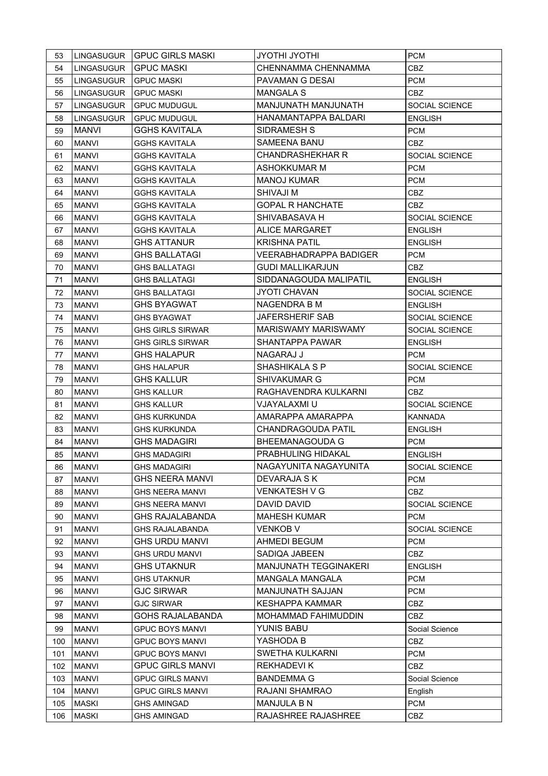| CHENNAMMA CHENNAMMA<br>54<br><b>GPUC MASKI</b><br>CBZ<br>LINGASUGUR<br>PAVAMAN G DESAI<br><b>PCM</b><br><b>GPUC MASKI</b><br>55<br>LINGASUGUR<br><b>MANGALA S</b><br>56<br>LINGASUGUR<br><b>GPUC MASKI</b><br>CBZ.<br>MANJUNATH MANJUNATH<br>SOCIAL SCIENCE<br>57<br>LINGASUGUR<br><b>GPUC MUDUGUL</b><br>HANAMANTAPPA BALDARI<br><b>LINGASUGUR</b><br><b>ENGLISH</b><br>58<br><b>GPUC MUDUGUL</b><br><b>MANVI</b><br><b>GGHS KAVITALA</b><br>SIDRAMESH S<br><b>PCM</b><br>59<br>SAMEENA BANU<br><b>MANVI</b><br>60<br>GGHS KAVITALA<br>CBZ<br><b>CHANDRASHEKHAR R</b><br><b>GGHS KAVITALA</b><br>SOCIAL SCIENCE<br>61<br><b>MANVI</b><br>ASHOKKUMAR M<br><b>MANVI</b><br><b>GGHS KAVITALA</b><br><b>PCM</b><br>62<br><b>MANOJ KUMAR</b><br><b>PCM</b><br>63<br><b>MANVI</b><br>GGHS KAVITALA<br>SHIVAJI M<br><b>MANVI</b><br><b>GGHS KAVITALA</b><br><b>CBZ</b><br>64<br><b>GOPAL R HANCHATE</b><br>65<br><b>MANVI</b><br>GGHS KAVITALA<br>CBZ<br>SHIVABASAVA H<br><b>MANVI</b><br><b>GGHS KAVITALA</b><br>SOCIAL SCIENCE<br>66<br><b>ALICE MARGARET</b><br><b>MANVI</b><br><b>GGHS KAVITALA</b><br>67<br><b>ENGLISH</b><br><b>KRISHNA PATIL</b><br><b>GHS ATTANUR</b><br><b>MANVI</b><br>68<br><b>ENGLISH</b><br><b>VEERABHADRAPPA BADIGER</b><br><b>GHS BALLATAGI</b><br>69<br><b>MANVI</b><br><b>PCM</b><br><b>GUDI MALLIKARJUN</b><br><b>MANVI</b><br><b>GHS BALLATAGI</b><br>70<br>CBZ<br>SIDDANAGOUDA MALIPATIL<br><b>GHS BALLATAGI</b><br><b>ENGLISH</b><br>71<br><b>MANVI</b><br><b>MANVI</b><br><b>GHS BALLATAGI</b><br><b>JYOTI CHAVAN</b><br>72<br>SOCIAL SCIENCE<br><b>GHS BYAGWAT</b><br>NAGENDRA B M<br>73<br><b>MANVI</b><br><b>ENGLISH</b><br><b>JAFERSHERIF SAB</b><br>74<br><b>MANVI</b><br><b>GHS BYAGWAT</b><br>SOCIAL SCIENCE<br>MARISWAMY MARISWAMY<br><b>GHS GIRLS SIRWAR</b><br>SOCIAL SCIENCE<br>75<br><b>MANVI</b><br>SHANTAPPA PAWAR<br><b>MANVI</b><br>76<br>GHS GIRLS SIRWAR<br><b>ENGLISH</b><br>77<br><b>GHS HALAPUR</b><br>NAGARAJ J<br><b>PCM</b><br><b>MANVI</b><br>SHASHIKALA S P<br><b>MANVI</b><br>SOCIAL SCIENCE<br>78<br>GHS HALAPUR<br><b>GHS KALLUR</b><br>SHIVAKUMAR G<br><b>PCM</b><br>79<br>MANVI<br>RAGHAVENDRA KULKARNI<br>80<br>MANVI<br>GHS KALLUR<br>CBZ.<br>VJAYALAXMI U<br><b>MANVI</b><br>SOCIAL SCIENCE<br>81<br>GHS KALLUR<br>AMARAPPA AMARAPPA<br>82<br><b>MANVI</b><br><b>GHS KURKUNDA</b><br><b>KANNADA</b><br>CHANDRAGOUDA PATIL<br><b>MANVI</b><br>83<br>GHS KURKUNDA<br><b>ENGLISH</b><br><b>GHS MADAGIRI</b><br><b>BHEEMANAGOUDA G</b><br><b>MANVI</b><br><b>PCM</b><br>84<br>PRABHULING HIDAKAL<br>85<br><b>MANVI</b><br><b>GHS MADAGIRI</b><br><b>ENGLISH</b><br>NAGAYUNITA NAGAYUNITA<br><b>MANVI</b><br>SOCIAL SCIENCE<br><b>GHS MADAGIRI</b><br>86<br><b>GHS NEERA MANVI</b><br>DEVARAJA S K<br>87<br><b>MANVI</b><br><b>PCM</b><br><b>VENKATESH V G</b><br><b>MANVI</b><br><b>GHS NEERA MANVI</b><br>CBZ<br>88<br>DAVID DAVID<br><b>MANVI</b><br><b>GHS NEERA MANVI</b><br>SOCIAL SCIENCE<br>89<br><b>MAHESH KUMAR</b><br><b>GHS RAJALABANDA</b><br><b>MANVI</b><br><b>PCM</b><br>90<br><b>VENKOB V</b><br><b>MANVI</b><br><b>GHS RAJALABANDA</b><br>SOCIAL SCIENCE<br>91<br><b>GHS URDU MANVI</b><br><b>MANVI</b><br>AHMEDI BEGUM<br><b>PCM</b><br>92<br>SADIQA JABEEN<br>CBZ<br>93<br><b>MANVI</b><br>GHS URDU MANVI<br>MANJUNATH TEGGINAKERI<br><b>MANVI</b><br><b>GHS UTAKNUR</b><br><b>ENGLISH</b><br>94<br><b>MANGALA MANGALA</b><br><b>MANVI</b><br><b>GHS UTAKNUR</b><br><b>PCM</b><br>95<br>MANJUNATH SAJJAN<br><b>MANVI</b><br><b>GJC SIRWAR</b><br><b>PCM</b><br>96<br><b>MANVI</b><br><b>GJC SIRWAR</b><br><b>KESHAPPA KAMMAR</b><br><b>CBZ</b><br>97<br><b>GOHS RAJALABANDA</b><br>MOHAMMAD FAHIMUDDIN<br><b>MANVI</b><br><b>CBZ</b><br>98<br>YUNIS BABU<br>99<br><b>MANVI</b><br><b>GPUC BOYS MANVI</b><br>Social Science<br>YASHODA B<br>100<br><b>MANVI</b><br><b>GPUC BOYS MANVI</b><br>CBZ<br>101<br><b>MANVI</b><br><b>GPUC BOYS MANVI</b><br>SWETHA KULKARNI<br><b>PCM</b><br><b>GPUC GIRLS MANVI</b><br><b>REKHADEVIK</b><br>102<br><b>MANVI</b><br>CBZ<br><b>BANDEMMAG</b><br>103<br><b>MANVI</b><br><b>GPUC GIRLS MANVI</b><br>Social Science<br>RAJANI SHAMRAO<br>104<br><b>MANVI</b><br><b>GPUC GIRLS MANVI</b><br>English<br><b>MANJULA B N</b><br>105<br>MASKI<br><b>GHS AMINGAD</b><br><b>PCM</b><br>RAJASHREE RAJASHREE<br>106<br><b>MASKI</b><br><b>GHS AMINGAD</b><br>CBZ | 53 | LINGASUGUR | <b>GPUC GIRLS MASKI</b> | <b>JYOTHI JYOTHI</b> | <b>PCM</b> |
|------------------------------------------------------------------------------------------------------------------------------------------------------------------------------------------------------------------------------------------------------------------------------------------------------------------------------------------------------------------------------------------------------------------------------------------------------------------------------------------------------------------------------------------------------------------------------------------------------------------------------------------------------------------------------------------------------------------------------------------------------------------------------------------------------------------------------------------------------------------------------------------------------------------------------------------------------------------------------------------------------------------------------------------------------------------------------------------------------------------------------------------------------------------------------------------------------------------------------------------------------------------------------------------------------------------------------------------------------------------------------------------------------------------------------------------------------------------------------------------------------------------------------------------------------------------------------------------------------------------------------------------------------------------------------------------------------------------------------------------------------------------------------------------------------------------------------------------------------------------------------------------------------------------------------------------------------------------------------------------------------------------------------------------------------------------------------------------------------------------------------------------------------------------------------------------------------------------------------------------------------------------------------------------------------------------------------------------------------------------------------------------------------------------------------------------------------------------------------------------------------------------------------------------------------------------------------------------------------------------------------------------------------------------------------------------------------------------------------------------------------------------------------------------------------------------------------------------------------------------------------------------------------------------------------------------------------------------------------------------------------------------------------------------------------------------------------------------------------------------------------------------------------------------------------------------------------------------------------------------------------------------------------------------------------------------------------------------------------------------------------------------------------------------------------------------------------------------------------------------------------------------------------------------------------------------------------------------------------------------------------------------------------------------------------------------------------------------------------------------------------------------------------------------------------------------------------------------------------------------------------------------------------------------------------------------------------------------------------------------------------------------------------------------------------------------------------------------------------------------------------------------------------------------------------------------------------------------------------------------------------------------------------------------------------------------------------------------------------------------------------|----|------------|-------------------------|----------------------|------------|
|                                                                                                                                                                                                                                                                                                                                                                                                                                                                                                                                                                                                                                                                                                                                                                                                                                                                                                                                                                                                                                                                                                                                                                                                                                                                                                                                                                                                                                                                                                                                                                                                                                                                                                                                                                                                                                                                                                                                                                                                                                                                                                                                                                                                                                                                                                                                                                                                                                                                                                                                                                                                                                                                                                                                                                                                                                                                                                                                                                                                                                                                                                                                                                                                                                                                                                                                                                                                                                                                                                                                                                                                                                                                                                                                                                                                                                                                                                                                                                                                                                                                                                                                                                                                                                                                                                                                                                              |    |            |                         |                      |            |
|                                                                                                                                                                                                                                                                                                                                                                                                                                                                                                                                                                                                                                                                                                                                                                                                                                                                                                                                                                                                                                                                                                                                                                                                                                                                                                                                                                                                                                                                                                                                                                                                                                                                                                                                                                                                                                                                                                                                                                                                                                                                                                                                                                                                                                                                                                                                                                                                                                                                                                                                                                                                                                                                                                                                                                                                                                                                                                                                                                                                                                                                                                                                                                                                                                                                                                                                                                                                                                                                                                                                                                                                                                                                                                                                                                                                                                                                                                                                                                                                                                                                                                                                                                                                                                                                                                                                                                              |    |            |                         |                      |            |
|                                                                                                                                                                                                                                                                                                                                                                                                                                                                                                                                                                                                                                                                                                                                                                                                                                                                                                                                                                                                                                                                                                                                                                                                                                                                                                                                                                                                                                                                                                                                                                                                                                                                                                                                                                                                                                                                                                                                                                                                                                                                                                                                                                                                                                                                                                                                                                                                                                                                                                                                                                                                                                                                                                                                                                                                                                                                                                                                                                                                                                                                                                                                                                                                                                                                                                                                                                                                                                                                                                                                                                                                                                                                                                                                                                                                                                                                                                                                                                                                                                                                                                                                                                                                                                                                                                                                                                              |    |            |                         |                      |            |
|                                                                                                                                                                                                                                                                                                                                                                                                                                                                                                                                                                                                                                                                                                                                                                                                                                                                                                                                                                                                                                                                                                                                                                                                                                                                                                                                                                                                                                                                                                                                                                                                                                                                                                                                                                                                                                                                                                                                                                                                                                                                                                                                                                                                                                                                                                                                                                                                                                                                                                                                                                                                                                                                                                                                                                                                                                                                                                                                                                                                                                                                                                                                                                                                                                                                                                                                                                                                                                                                                                                                                                                                                                                                                                                                                                                                                                                                                                                                                                                                                                                                                                                                                                                                                                                                                                                                                                              |    |            |                         |                      |            |
|                                                                                                                                                                                                                                                                                                                                                                                                                                                                                                                                                                                                                                                                                                                                                                                                                                                                                                                                                                                                                                                                                                                                                                                                                                                                                                                                                                                                                                                                                                                                                                                                                                                                                                                                                                                                                                                                                                                                                                                                                                                                                                                                                                                                                                                                                                                                                                                                                                                                                                                                                                                                                                                                                                                                                                                                                                                                                                                                                                                                                                                                                                                                                                                                                                                                                                                                                                                                                                                                                                                                                                                                                                                                                                                                                                                                                                                                                                                                                                                                                                                                                                                                                                                                                                                                                                                                                                              |    |            |                         |                      |            |
|                                                                                                                                                                                                                                                                                                                                                                                                                                                                                                                                                                                                                                                                                                                                                                                                                                                                                                                                                                                                                                                                                                                                                                                                                                                                                                                                                                                                                                                                                                                                                                                                                                                                                                                                                                                                                                                                                                                                                                                                                                                                                                                                                                                                                                                                                                                                                                                                                                                                                                                                                                                                                                                                                                                                                                                                                                                                                                                                                                                                                                                                                                                                                                                                                                                                                                                                                                                                                                                                                                                                                                                                                                                                                                                                                                                                                                                                                                                                                                                                                                                                                                                                                                                                                                                                                                                                                                              |    |            |                         |                      |            |
|                                                                                                                                                                                                                                                                                                                                                                                                                                                                                                                                                                                                                                                                                                                                                                                                                                                                                                                                                                                                                                                                                                                                                                                                                                                                                                                                                                                                                                                                                                                                                                                                                                                                                                                                                                                                                                                                                                                                                                                                                                                                                                                                                                                                                                                                                                                                                                                                                                                                                                                                                                                                                                                                                                                                                                                                                                                                                                                                                                                                                                                                                                                                                                                                                                                                                                                                                                                                                                                                                                                                                                                                                                                                                                                                                                                                                                                                                                                                                                                                                                                                                                                                                                                                                                                                                                                                                                              |    |            |                         |                      |            |
|                                                                                                                                                                                                                                                                                                                                                                                                                                                                                                                                                                                                                                                                                                                                                                                                                                                                                                                                                                                                                                                                                                                                                                                                                                                                                                                                                                                                                                                                                                                                                                                                                                                                                                                                                                                                                                                                                                                                                                                                                                                                                                                                                                                                                                                                                                                                                                                                                                                                                                                                                                                                                                                                                                                                                                                                                                                                                                                                                                                                                                                                                                                                                                                                                                                                                                                                                                                                                                                                                                                                                                                                                                                                                                                                                                                                                                                                                                                                                                                                                                                                                                                                                                                                                                                                                                                                                                              |    |            |                         |                      |            |
|                                                                                                                                                                                                                                                                                                                                                                                                                                                                                                                                                                                                                                                                                                                                                                                                                                                                                                                                                                                                                                                                                                                                                                                                                                                                                                                                                                                                                                                                                                                                                                                                                                                                                                                                                                                                                                                                                                                                                                                                                                                                                                                                                                                                                                                                                                                                                                                                                                                                                                                                                                                                                                                                                                                                                                                                                                                                                                                                                                                                                                                                                                                                                                                                                                                                                                                                                                                                                                                                                                                                                                                                                                                                                                                                                                                                                                                                                                                                                                                                                                                                                                                                                                                                                                                                                                                                                                              |    |            |                         |                      |            |
|                                                                                                                                                                                                                                                                                                                                                                                                                                                                                                                                                                                                                                                                                                                                                                                                                                                                                                                                                                                                                                                                                                                                                                                                                                                                                                                                                                                                                                                                                                                                                                                                                                                                                                                                                                                                                                                                                                                                                                                                                                                                                                                                                                                                                                                                                                                                                                                                                                                                                                                                                                                                                                                                                                                                                                                                                                                                                                                                                                                                                                                                                                                                                                                                                                                                                                                                                                                                                                                                                                                                                                                                                                                                                                                                                                                                                                                                                                                                                                                                                                                                                                                                                                                                                                                                                                                                                                              |    |            |                         |                      |            |
|                                                                                                                                                                                                                                                                                                                                                                                                                                                                                                                                                                                                                                                                                                                                                                                                                                                                                                                                                                                                                                                                                                                                                                                                                                                                                                                                                                                                                                                                                                                                                                                                                                                                                                                                                                                                                                                                                                                                                                                                                                                                                                                                                                                                                                                                                                                                                                                                                                                                                                                                                                                                                                                                                                                                                                                                                                                                                                                                                                                                                                                                                                                                                                                                                                                                                                                                                                                                                                                                                                                                                                                                                                                                                                                                                                                                                                                                                                                                                                                                                                                                                                                                                                                                                                                                                                                                                                              |    |            |                         |                      |            |
|                                                                                                                                                                                                                                                                                                                                                                                                                                                                                                                                                                                                                                                                                                                                                                                                                                                                                                                                                                                                                                                                                                                                                                                                                                                                                                                                                                                                                                                                                                                                                                                                                                                                                                                                                                                                                                                                                                                                                                                                                                                                                                                                                                                                                                                                                                                                                                                                                                                                                                                                                                                                                                                                                                                                                                                                                                                                                                                                                                                                                                                                                                                                                                                                                                                                                                                                                                                                                                                                                                                                                                                                                                                                                                                                                                                                                                                                                                                                                                                                                                                                                                                                                                                                                                                                                                                                                                              |    |            |                         |                      |            |
|                                                                                                                                                                                                                                                                                                                                                                                                                                                                                                                                                                                                                                                                                                                                                                                                                                                                                                                                                                                                                                                                                                                                                                                                                                                                                                                                                                                                                                                                                                                                                                                                                                                                                                                                                                                                                                                                                                                                                                                                                                                                                                                                                                                                                                                                                                                                                                                                                                                                                                                                                                                                                                                                                                                                                                                                                                                                                                                                                                                                                                                                                                                                                                                                                                                                                                                                                                                                                                                                                                                                                                                                                                                                                                                                                                                                                                                                                                                                                                                                                                                                                                                                                                                                                                                                                                                                                                              |    |            |                         |                      |            |
|                                                                                                                                                                                                                                                                                                                                                                                                                                                                                                                                                                                                                                                                                                                                                                                                                                                                                                                                                                                                                                                                                                                                                                                                                                                                                                                                                                                                                                                                                                                                                                                                                                                                                                                                                                                                                                                                                                                                                                                                                                                                                                                                                                                                                                                                                                                                                                                                                                                                                                                                                                                                                                                                                                                                                                                                                                                                                                                                                                                                                                                                                                                                                                                                                                                                                                                                                                                                                                                                                                                                                                                                                                                                                                                                                                                                                                                                                                                                                                                                                                                                                                                                                                                                                                                                                                                                                                              |    |            |                         |                      |            |
|                                                                                                                                                                                                                                                                                                                                                                                                                                                                                                                                                                                                                                                                                                                                                                                                                                                                                                                                                                                                                                                                                                                                                                                                                                                                                                                                                                                                                                                                                                                                                                                                                                                                                                                                                                                                                                                                                                                                                                                                                                                                                                                                                                                                                                                                                                                                                                                                                                                                                                                                                                                                                                                                                                                                                                                                                                                                                                                                                                                                                                                                                                                                                                                                                                                                                                                                                                                                                                                                                                                                                                                                                                                                                                                                                                                                                                                                                                                                                                                                                                                                                                                                                                                                                                                                                                                                                                              |    |            |                         |                      |            |
|                                                                                                                                                                                                                                                                                                                                                                                                                                                                                                                                                                                                                                                                                                                                                                                                                                                                                                                                                                                                                                                                                                                                                                                                                                                                                                                                                                                                                                                                                                                                                                                                                                                                                                                                                                                                                                                                                                                                                                                                                                                                                                                                                                                                                                                                                                                                                                                                                                                                                                                                                                                                                                                                                                                                                                                                                                                                                                                                                                                                                                                                                                                                                                                                                                                                                                                                                                                                                                                                                                                                                                                                                                                                                                                                                                                                                                                                                                                                                                                                                                                                                                                                                                                                                                                                                                                                                                              |    |            |                         |                      |            |
|                                                                                                                                                                                                                                                                                                                                                                                                                                                                                                                                                                                                                                                                                                                                                                                                                                                                                                                                                                                                                                                                                                                                                                                                                                                                                                                                                                                                                                                                                                                                                                                                                                                                                                                                                                                                                                                                                                                                                                                                                                                                                                                                                                                                                                                                                                                                                                                                                                                                                                                                                                                                                                                                                                                                                                                                                                                                                                                                                                                                                                                                                                                                                                                                                                                                                                                                                                                                                                                                                                                                                                                                                                                                                                                                                                                                                                                                                                                                                                                                                                                                                                                                                                                                                                                                                                                                                                              |    |            |                         |                      |            |
|                                                                                                                                                                                                                                                                                                                                                                                                                                                                                                                                                                                                                                                                                                                                                                                                                                                                                                                                                                                                                                                                                                                                                                                                                                                                                                                                                                                                                                                                                                                                                                                                                                                                                                                                                                                                                                                                                                                                                                                                                                                                                                                                                                                                                                                                                                                                                                                                                                                                                                                                                                                                                                                                                                                                                                                                                                                                                                                                                                                                                                                                                                                                                                                                                                                                                                                                                                                                                                                                                                                                                                                                                                                                                                                                                                                                                                                                                                                                                                                                                                                                                                                                                                                                                                                                                                                                                                              |    |            |                         |                      |            |
|                                                                                                                                                                                                                                                                                                                                                                                                                                                                                                                                                                                                                                                                                                                                                                                                                                                                                                                                                                                                                                                                                                                                                                                                                                                                                                                                                                                                                                                                                                                                                                                                                                                                                                                                                                                                                                                                                                                                                                                                                                                                                                                                                                                                                                                                                                                                                                                                                                                                                                                                                                                                                                                                                                                                                                                                                                                                                                                                                                                                                                                                                                                                                                                                                                                                                                                                                                                                                                                                                                                                                                                                                                                                                                                                                                                                                                                                                                                                                                                                                                                                                                                                                                                                                                                                                                                                                                              |    |            |                         |                      |            |
|                                                                                                                                                                                                                                                                                                                                                                                                                                                                                                                                                                                                                                                                                                                                                                                                                                                                                                                                                                                                                                                                                                                                                                                                                                                                                                                                                                                                                                                                                                                                                                                                                                                                                                                                                                                                                                                                                                                                                                                                                                                                                                                                                                                                                                                                                                                                                                                                                                                                                                                                                                                                                                                                                                                                                                                                                                                                                                                                                                                                                                                                                                                                                                                                                                                                                                                                                                                                                                                                                                                                                                                                                                                                                                                                                                                                                                                                                                                                                                                                                                                                                                                                                                                                                                                                                                                                                                              |    |            |                         |                      |            |
|                                                                                                                                                                                                                                                                                                                                                                                                                                                                                                                                                                                                                                                                                                                                                                                                                                                                                                                                                                                                                                                                                                                                                                                                                                                                                                                                                                                                                                                                                                                                                                                                                                                                                                                                                                                                                                                                                                                                                                                                                                                                                                                                                                                                                                                                                                                                                                                                                                                                                                                                                                                                                                                                                                                                                                                                                                                                                                                                                                                                                                                                                                                                                                                                                                                                                                                                                                                                                                                                                                                                                                                                                                                                                                                                                                                                                                                                                                                                                                                                                                                                                                                                                                                                                                                                                                                                                                              |    |            |                         |                      |            |
|                                                                                                                                                                                                                                                                                                                                                                                                                                                                                                                                                                                                                                                                                                                                                                                                                                                                                                                                                                                                                                                                                                                                                                                                                                                                                                                                                                                                                                                                                                                                                                                                                                                                                                                                                                                                                                                                                                                                                                                                                                                                                                                                                                                                                                                                                                                                                                                                                                                                                                                                                                                                                                                                                                                                                                                                                                                                                                                                                                                                                                                                                                                                                                                                                                                                                                                                                                                                                                                                                                                                                                                                                                                                                                                                                                                                                                                                                                                                                                                                                                                                                                                                                                                                                                                                                                                                                                              |    |            |                         |                      |            |
|                                                                                                                                                                                                                                                                                                                                                                                                                                                                                                                                                                                                                                                                                                                                                                                                                                                                                                                                                                                                                                                                                                                                                                                                                                                                                                                                                                                                                                                                                                                                                                                                                                                                                                                                                                                                                                                                                                                                                                                                                                                                                                                                                                                                                                                                                                                                                                                                                                                                                                                                                                                                                                                                                                                                                                                                                                                                                                                                                                                                                                                                                                                                                                                                                                                                                                                                                                                                                                                                                                                                                                                                                                                                                                                                                                                                                                                                                                                                                                                                                                                                                                                                                                                                                                                                                                                                                                              |    |            |                         |                      |            |
|                                                                                                                                                                                                                                                                                                                                                                                                                                                                                                                                                                                                                                                                                                                                                                                                                                                                                                                                                                                                                                                                                                                                                                                                                                                                                                                                                                                                                                                                                                                                                                                                                                                                                                                                                                                                                                                                                                                                                                                                                                                                                                                                                                                                                                                                                                                                                                                                                                                                                                                                                                                                                                                                                                                                                                                                                                                                                                                                                                                                                                                                                                                                                                                                                                                                                                                                                                                                                                                                                                                                                                                                                                                                                                                                                                                                                                                                                                                                                                                                                                                                                                                                                                                                                                                                                                                                                                              |    |            |                         |                      |            |
|                                                                                                                                                                                                                                                                                                                                                                                                                                                                                                                                                                                                                                                                                                                                                                                                                                                                                                                                                                                                                                                                                                                                                                                                                                                                                                                                                                                                                                                                                                                                                                                                                                                                                                                                                                                                                                                                                                                                                                                                                                                                                                                                                                                                                                                                                                                                                                                                                                                                                                                                                                                                                                                                                                                                                                                                                                                                                                                                                                                                                                                                                                                                                                                                                                                                                                                                                                                                                                                                                                                                                                                                                                                                                                                                                                                                                                                                                                                                                                                                                                                                                                                                                                                                                                                                                                                                                                              |    |            |                         |                      |            |
|                                                                                                                                                                                                                                                                                                                                                                                                                                                                                                                                                                                                                                                                                                                                                                                                                                                                                                                                                                                                                                                                                                                                                                                                                                                                                                                                                                                                                                                                                                                                                                                                                                                                                                                                                                                                                                                                                                                                                                                                                                                                                                                                                                                                                                                                                                                                                                                                                                                                                                                                                                                                                                                                                                                                                                                                                                                                                                                                                                                                                                                                                                                                                                                                                                                                                                                                                                                                                                                                                                                                                                                                                                                                                                                                                                                                                                                                                                                                                                                                                                                                                                                                                                                                                                                                                                                                                                              |    |            |                         |                      |            |
|                                                                                                                                                                                                                                                                                                                                                                                                                                                                                                                                                                                                                                                                                                                                                                                                                                                                                                                                                                                                                                                                                                                                                                                                                                                                                                                                                                                                                                                                                                                                                                                                                                                                                                                                                                                                                                                                                                                                                                                                                                                                                                                                                                                                                                                                                                                                                                                                                                                                                                                                                                                                                                                                                                                                                                                                                                                                                                                                                                                                                                                                                                                                                                                                                                                                                                                                                                                                                                                                                                                                                                                                                                                                                                                                                                                                                                                                                                                                                                                                                                                                                                                                                                                                                                                                                                                                                                              |    |            |                         |                      |            |
|                                                                                                                                                                                                                                                                                                                                                                                                                                                                                                                                                                                                                                                                                                                                                                                                                                                                                                                                                                                                                                                                                                                                                                                                                                                                                                                                                                                                                                                                                                                                                                                                                                                                                                                                                                                                                                                                                                                                                                                                                                                                                                                                                                                                                                                                                                                                                                                                                                                                                                                                                                                                                                                                                                                                                                                                                                                                                                                                                                                                                                                                                                                                                                                                                                                                                                                                                                                                                                                                                                                                                                                                                                                                                                                                                                                                                                                                                                                                                                                                                                                                                                                                                                                                                                                                                                                                                                              |    |            |                         |                      |            |
|                                                                                                                                                                                                                                                                                                                                                                                                                                                                                                                                                                                                                                                                                                                                                                                                                                                                                                                                                                                                                                                                                                                                                                                                                                                                                                                                                                                                                                                                                                                                                                                                                                                                                                                                                                                                                                                                                                                                                                                                                                                                                                                                                                                                                                                                                                                                                                                                                                                                                                                                                                                                                                                                                                                                                                                                                                                                                                                                                                                                                                                                                                                                                                                                                                                                                                                                                                                                                                                                                                                                                                                                                                                                                                                                                                                                                                                                                                                                                                                                                                                                                                                                                                                                                                                                                                                                                                              |    |            |                         |                      |            |
|                                                                                                                                                                                                                                                                                                                                                                                                                                                                                                                                                                                                                                                                                                                                                                                                                                                                                                                                                                                                                                                                                                                                                                                                                                                                                                                                                                                                                                                                                                                                                                                                                                                                                                                                                                                                                                                                                                                                                                                                                                                                                                                                                                                                                                                                                                                                                                                                                                                                                                                                                                                                                                                                                                                                                                                                                                                                                                                                                                                                                                                                                                                                                                                                                                                                                                                                                                                                                                                                                                                                                                                                                                                                                                                                                                                                                                                                                                                                                                                                                                                                                                                                                                                                                                                                                                                                                                              |    |            |                         |                      |            |
|                                                                                                                                                                                                                                                                                                                                                                                                                                                                                                                                                                                                                                                                                                                                                                                                                                                                                                                                                                                                                                                                                                                                                                                                                                                                                                                                                                                                                                                                                                                                                                                                                                                                                                                                                                                                                                                                                                                                                                                                                                                                                                                                                                                                                                                                                                                                                                                                                                                                                                                                                                                                                                                                                                                                                                                                                                                                                                                                                                                                                                                                                                                                                                                                                                                                                                                                                                                                                                                                                                                                                                                                                                                                                                                                                                                                                                                                                                                                                                                                                                                                                                                                                                                                                                                                                                                                                                              |    |            |                         |                      |            |
|                                                                                                                                                                                                                                                                                                                                                                                                                                                                                                                                                                                                                                                                                                                                                                                                                                                                                                                                                                                                                                                                                                                                                                                                                                                                                                                                                                                                                                                                                                                                                                                                                                                                                                                                                                                                                                                                                                                                                                                                                                                                                                                                                                                                                                                                                                                                                                                                                                                                                                                                                                                                                                                                                                                                                                                                                                                                                                                                                                                                                                                                                                                                                                                                                                                                                                                                                                                                                                                                                                                                                                                                                                                                                                                                                                                                                                                                                                                                                                                                                                                                                                                                                                                                                                                                                                                                                                              |    |            |                         |                      |            |
|                                                                                                                                                                                                                                                                                                                                                                                                                                                                                                                                                                                                                                                                                                                                                                                                                                                                                                                                                                                                                                                                                                                                                                                                                                                                                                                                                                                                                                                                                                                                                                                                                                                                                                                                                                                                                                                                                                                                                                                                                                                                                                                                                                                                                                                                                                                                                                                                                                                                                                                                                                                                                                                                                                                                                                                                                                                                                                                                                                                                                                                                                                                                                                                                                                                                                                                                                                                                                                                                                                                                                                                                                                                                                                                                                                                                                                                                                                                                                                                                                                                                                                                                                                                                                                                                                                                                                                              |    |            |                         |                      |            |
|                                                                                                                                                                                                                                                                                                                                                                                                                                                                                                                                                                                                                                                                                                                                                                                                                                                                                                                                                                                                                                                                                                                                                                                                                                                                                                                                                                                                                                                                                                                                                                                                                                                                                                                                                                                                                                                                                                                                                                                                                                                                                                                                                                                                                                                                                                                                                                                                                                                                                                                                                                                                                                                                                                                                                                                                                                                                                                                                                                                                                                                                                                                                                                                                                                                                                                                                                                                                                                                                                                                                                                                                                                                                                                                                                                                                                                                                                                                                                                                                                                                                                                                                                                                                                                                                                                                                                                              |    |            |                         |                      |            |
|                                                                                                                                                                                                                                                                                                                                                                                                                                                                                                                                                                                                                                                                                                                                                                                                                                                                                                                                                                                                                                                                                                                                                                                                                                                                                                                                                                                                                                                                                                                                                                                                                                                                                                                                                                                                                                                                                                                                                                                                                                                                                                                                                                                                                                                                                                                                                                                                                                                                                                                                                                                                                                                                                                                                                                                                                                                                                                                                                                                                                                                                                                                                                                                                                                                                                                                                                                                                                                                                                                                                                                                                                                                                                                                                                                                                                                                                                                                                                                                                                                                                                                                                                                                                                                                                                                                                                                              |    |            |                         |                      |            |
|                                                                                                                                                                                                                                                                                                                                                                                                                                                                                                                                                                                                                                                                                                                                                                                                                                                                                                                                                                                                                                                                                                                                                                                                                                                                                                                                                                                                                                                                                                                                                                                                                                                                                                                                                                                                                                                                                                                                                                                                                                                                                                                                                                                                                                                                                                                                                                                                                                                                                                                                                                                                                                                                                                                                                                                                                                                                                                                                                                                                                                                                                                                                                                                                                                                                                                                                                                                                                                                                                                                                                                                                                                                                                                                                                                                                                                                                                                                                                                                                                                                                                                                                                                                                                                                                                                                                                                              |    |            |                         |                      |            |
|                                                                                                                                                                                                                                                                                                                                                                                                                                                                                                                                                                                                                                                                                                                                                                                                                                                                                                                                                                                                                                                                                                                                                                                                                                                                                                                                                                                                                                                                                                                                                                                                                                                                                                                                                                                                                                                                                                                                                                                                                                                                                                                                                                                                                                                                                                                                                                                                                                                                                                                                                                                                                                                                                                                                                                                                                                                                                                                                                                                                                                                                                                                                                                                                                                                                                                                                                                                                                                                                                                                                                                                                                                                                                                                                                                                                                                                                                                                                                                                                                                                                                                                                                                                                                                                                                                                                                                              |    |            |                         |                      |            |
|                                                                                                                                                                                                                                                                                                                                                                                                                                                                                                                                                                                                                                                                                                                                                                                                                                                                                                                                                                                                                                                                                                                                                                                                                                                                                                                                                                                                                                                                                                                                                                                                                                                                                                                                                                                                                                                                                                                                                                                                                                                                                                                                                                                                                                                                                                                                                                                                                                                                                                                                                                                                                                                                                                                                                                                                                                                                                                                                                                                                                                                                                                                                                                                                                                                                                                                                                                                                                                                                                                                                                                                                                                                                                                                                                                                                                                                                                                                                                                                                                                                                                                                                                                                                                                                                                                                                                                              |    |            |                         |                      |            |
|                                                                                                                                                                                                                                                                                                                                                                                                                                                                                                                                                                                                                                                                                                                                                                                                                                                                                                                                                                                                                                                                                                                                                                                                                                                                                                                                                                                                                                                                                                                                                                                                                                                                                                                                                                                                                                                                                                                                                                                                                                                                                                                                                                                                                                                                                                                                                                                                                                                                                                                                                                                                                                                                                                                                                                                                                                                                                                                                                                                                                                                                                                                                                                                                                                                                                                                                                                                                                                                                                                                                                                                                                                                                                                                                                                                                                                                                                                                                                                                                                                                                                                                                                                                                                                                                                                                                                                              |    |            |                         |                      |            |
|                                                                                                                                                                                                                                                                                                                                                                                                                                                                                                                                                                                                                                                                                                                                                                                                                                                                                                                                                                                                                                                                                                                                                                                                                                                                                                                                                                                                                                                                                                                                                                                                                                                                                                                                                                                                                                                                                                                                                                                                                                                                                                                                                                                                                                                                                                                                                                                                                                                                                                                                                                                                                                                                                                                                                                                                                                                                                                                                                                                                                                                                                                                                                                                                                                                                                                                                                                                                                                                                                                                                                                                                                                                                                                                                                                                                                                                                                                                                                                                                                                                                                                                                                                                                                                                                                                                                                                              |    |            |                         |                      |            |
|                                                                                                                                                                                                                                                                                                                                                                                                                                                                                                                                                                                                                                                                                                                                                                                                                                                                                                                                                                                                                                                                                                                                                                                                                                                                                                                                                                                                                                                                                                                                                                                                                                                                                                                                                                                                                                                                                                                                                                                                                                                                                                                                                                                                                                                                                                                                                                                                                                                                                                                                                                                                                                                                                                                                                                                                                                                                                                                                                                                                                                                                                                                                                                                                                                                                                                                                                                                                                                                                                                                                                                                                                                                                                                                                                                                                                                                                                                                                                                                                                                                                                                                                                                                                                                                                                                                                                                              |    |            |                         |                      |            |
|                                                                                                                                                                                                                                                                                                                                                                                                                                                                                                                                                                                                                                                                                                                                                                                                                                                                                                                                                                                                                                                                                                                                                                                                                                                                                                                                                                                                                                                                                                                                                                                                                                                                                                                                                                                                                                                                                                                                                                                                                                                                                                                                                                                                                                                                                                                                                                                                                                                                                                                                                                                                                                                                                                                                                                                                                                                                                                                                                                                                                                                                                                                                                                                                                                                                                                                                                                                                                                                                                                                                                                                                                                                                                                                                                                                                                                                                                                                                                                                                                                                                                                                                                                                                                                                                                                                                                                              |    |            |                         |                      |            |
|                                                                                                                                                                                                                                                                                                                                                                                                                                                                                                                                                                                                                                                                                                                                                                                                                                                                                                                                                                                                                                                                                                                                                                                                                                                                                                                                                                                                                                                                                                                                                                                                                                                                                                                                                                                                                                                                                                                                                                                                                                                                                                                                                                                                                                                                                                                                                                                                                                                                                                                                                                                                                                                                                                                                                                                                                                                                                                                                                                                                                                                                                                                                                                                                                                                                                                                                                                                                                                                                                                                                                                                                                                                                                                                                                                                                                                                                                                                                                                                                                                                                                                                                                                                                                                                                                                                                                                              |    |            |                         |                      |            |
|                                                                                                                                                                                                                                                                                                                                                                                                                                                                                                                                                                                                                                                                                                                                                                                                                                                                                                                                                                                                                                                                                                                                                                                                                                                                                                                                                                                                                                                                                                                                                                                                                                                                                                                                                                                                                                                                                                                                                                                                                                                                                                                                                                                                                                                                                                                                                                                                                                                                                                                                                                                                                                                                                                                                                                                                                                                                                                                                                                                                                                                                                                                                                                                                                                                                                                                                                                                                                                                                                                                                                                                                                                                                                                                                                                                                                                                                                                                                                                                                                                                                                                                                                                                                                                                                                                                                                                              |    |            |                         |                      |            |
|                                                                                                                                                                                                                                                                                                                                                                                                                                                                                                                                                                                                                                                                                                                                                                                                                                                                                                                                                                                                                                                                                                                                                                                                                                                                                                                                                                                                                                                                                                                                                                                                                                                                                                                                                                                                                                                                                                                                                                                                                                                                                                                                                                                                                                                                                                                                                                                                                                                                                                                                                                                                                                                                                                                                                                                                                                                                                                                                                                                                                                                                                                                                                                                                                                                                                                                                                                                                                                                                                                                                                                                                                                                                                                                                                                                                                                                                                                                                                                                                                                                                                                                                                                                                                                                                                                                                                                              |    |            |                         |                      |            |
|                                                                                                                                                                                                                                                                                                                                                                                                                                                                                                                                                                                                                                                                                                                                                                                                                                                                                                                                                                                                                                                                                                                                                                                                                                                                                                                                                                                                                                                                                                                                                                                                                                                                                                                                                                                                                                                                                                                                                                                                                                                                                                                                                                                                                                                                                                                                                                                                                                                                                                                                                                                                                                                                                                                                                                                                                                                                                                                                                                                                                                                                                                                                                                                                                                                                                                                                                                                                                                                                                                                                                                                                                                                                                                                                                                                                                                                                                                                                                                                                                                                                                                                                                                                                                                                                                                                                                                              |    |            |                         |                      |            |
|                                                                                                                                                                                                                                                                                                                                                                                                                                                                                                                                                                                                                                                                                                                                                                                                                                                                                                                                                                                                                                                                                                                                                                                                                                                                                                                                                                                                                                                                                                                                                                                                                                                                                                                                                                                                                                                                                                                                                                                                                                                                                                                                                                                                                                                                                                                                                                                                                                                                                                                                                                                                                                                                                                                                                                                                                                                                                                                                                                                                                                                                                                                                                                                                                                                                                                                                                                                                                                                                                                                                                                                                                                                                                                                                                                                                                                                                                                                                                                                                                                                                                                                                                                                                                                                                                                                                                                              |    |            |                         |                      |            |
|                                                                                                                                                                                                                                                                                                                                                                                                                                                                                                                                                                                                                                                                                                                                                                                                                                                                                                                                                                                                                                                                                                                                                                                                                                                                                                                                                                                                                                                                                                                                                                                                                                                                                                                                                                                                                                                                                                                                                                                                                                                                                                                                                                                                                                                                                                                                                                                                                                                                                                                                                                                                                                                                                                                                                                                                                                                                                                                                                                                                                                                                                                                                                                                                                                                                                                                                                                                                                                                                                                                                                                                                                                                                                                                                                                                                                                                                                                                                                                                                                                                                                                                                                                                                                                                                                                                                                                              |    |            |                         |                      |            |
|                                                                                                                                                                                                                                                                                                                                                                                                                                                                                                                                                                                                                                                                                                                                                                                                                                                                                                                                                                                                                                                                                                                                                                                                                                                                                                                                                                                                                                                                                                                                                                                                                                                                                                                                                                                                                                                                                                                                                                                                                                                                                                                                                                                                                                                                                                                                                                                                                                                                                                                                                                                                                                                                                                                                                                                                                                                                                                                                                                                                                                                                                                                                                                                                                                                                                                                                                                                                                                                                                                                                                                                                                                                                                                                                                                                                                                                                                                                                                                                                                                                                                                                                                                                                                                                                                                                                                                              |    |            |                         |                      |            |
|                                                                                                                                                                                                                                                                                                                                                                                                                                                                                                                                                                                                                                                                                                                                                                                                                                                                                                                                                                                                                                                                                                                                                                                                                                                                                                                                                                                                                                                                                                                                                                                                                                                                                                                                                                                                                                                                                                                                                                                                                                                                                                                                                                                                                                                                                                                                                                                                                                                                                                                                                                                                                                                                                                                                                                                                                                                                                                                                                                                                                                                                                                                                                                                                                                                                                                                                                                                                                                                                                                                                                                                                                                                                                                                                                                                                                                                                                                                                                                                                                                                                                                                                                                                                                                                                                                                                                                              |    |            |                         |                      |            |
|                                                                                                                                                                                                                                                                                                                                                                                                                                                                                                                                                                                                                                                                                                                                                                                                                                                                                                                                                                                                                                                                                                                                                                                                                                                                                                                                                                                                                                                                                                                                                                                                                                                                                                                                                                                                                                                                                                                                                                                                                                                                                                                                                                                                                                                                                                                                                                                                                                                                                                                                                                                                                                                                                                                                                                                                                                                                                                                                                                                                                                                                                                                                                                                                                                                                                                                                                                                                                                                                                                                                                                                                                                                                                                                                                                                                                                                                                                                                                                                                                                                                                                                                                                                                                                                                                                                                                                              |    |            |                         |                      |            |
|                                                                                                                                                                                                                                                                                                                                                                                                                                                                                                                                                                                                                                                                                                                                                                                                                                                                                                                                                                                                                                                                                                                                                                                                                                                                                                                                                                                                                                                                                                                                                                                                                                                                                                                                                                                                                                                                                                                                                                                                                                                                                                                                                                                                                                                                                                                                                                                                                                                                                                                                                                                                                                                                                                                                                                                                                                                                                                                                                                                                                                                                                                                                                                                                                                                                                                                                                                                                                                                                                                                                                                                                                                                                                                                                                                                                                                                                                                                                                                                                                                                                                                                                                                                                                                                                                                                                                                              |    |            |                         |                      |            |
|                                                                                                                                                                                                                                                                                                                                                                                                                                                                                                                                                                                                                                                                                                                                                                                                                                                                                                                                                                                                                                                                                                                                                                                                                                                                                                                                                                                                                                                                                                                                                                                                                                                                                                                                                                                                                                                                                                                                                                                                                                                                                                                                                                                                                                                                                                                                                                                                                                                                                                                                                                                                                                                                                                                                                                                                                                                                                                                                                                                                                                                                                                                                                                                                                                                                                                                                                                                                                                                                                                                                                                                                                                                                                                                                                                                                                                                                                                                                                                                                                                                                                                                                                                                                                                                                                                                                                                              |    |            |                         |                      |            |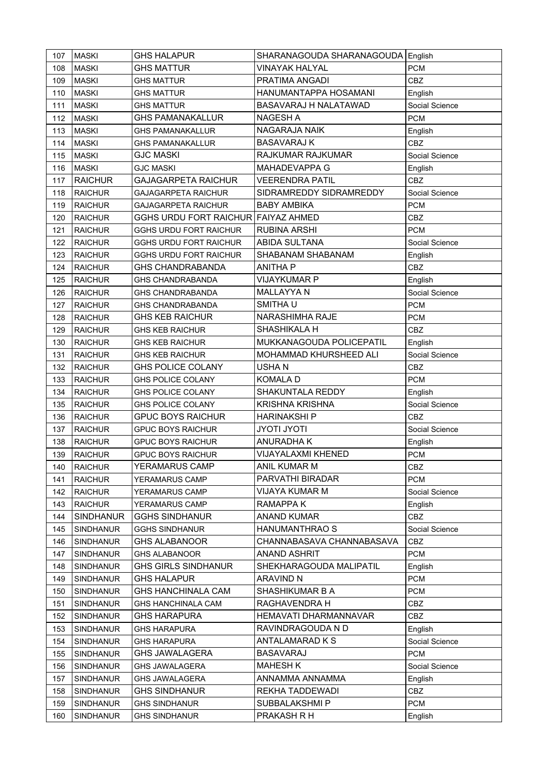| 107 | <b>MASKI</b>     | <b>GHS HALAPUR</b>                  | SHARANAGOUDA SHARANAGOUDA English |                |
|-----|------------------|-------------------------------------|-----------------------------------|----------------|
| 108 | <b>MASKI</b>     | <b>GHS MATTUR</b>                   | VINAYAK HALYAL                    | <b>PCM</b>     |
| 109 | <b>MASKI</b>     | <b>GHS MATTUR</b>                   | PRATIMA ANGADI                    | CBZ            |
| 110 | <b>MASKI</b>     | <b>GHS MATTUR</b>                   | HANUMANTAPPA HOSAMANI             | English        |
| 111 | <b>MASKI</b>     | GHS MATTUR                          | BASAVARAJ H NALATAWAD             | Social Science |
| 112 | <b>MASKI</b>     | <b>GHS PAMANAKALLUR</b>             | NAGESH A                          | <b>PCM</b>     |
| 113 | <b>MASKI</b>     | <b>GHS PAMANAKALLUR</b>             | NAGARAJA NAIK                     | English        |
| 114 | <b>MASKI</b>     | <b>GHS PAMANAKALLUR</b>             | <b>BASAVARAJ K</b>                | <b>CBZ</b>     |
| 115 | <b>MASKI</b>     | <b>GJC MASKI</b>                    | RAJKUMAR RAJKUMAR                 | Social Science |
| 116 | <b>MASKI</b>     | <b>GJC MASKI</b>                    | MAHADEVAPPA G                     | English        |
| 117 | <b>RAICHUR</b>   | <b>GAJAGARPETA RAICHUR</b>          | <b>VEERENDRA PATIL</b>            | CBZ            |
| 118 | <b>RAICHUR</b>   | <b>GAJAGARPETA RAICHUR</b>          | SIDRAMREDDY SIDRAMREDDY           | Social Science |
| 119 | <b>RAICHUR</b>   | <b>GAJAGARPETA RAICHUR</b>          | <b>BABY AMBIKA</b>                | <b>PCM</b>     |
| 120 | <b>RAICHUR</b>   | GGHS URDU FORT RAICHUR FAIYAZ AHMED |                                   | CBZ            |
| 121 | <b>RAICHUR</b>   | <b>GGHS URDU FORT RAICHUR</b>       | <b>RUBINA ARSHI</b>               | <b>PCM</b>     |
| 122 | <b>RAICHUR</b>   | <b>GGHS URDU FORT RAICHUR</b>       | <b>ABIDA SULTANA</b>              | Social Science |
| 123 | <b>RAICHUR</b>   | <b>GGHS URDU FORT RAICHUR</b>       | SHABANAM SHABANAM                 | English        |
| 124 | <b>RAICHUR</b>   | <b>GHS CHANDRABANDA</b>             | <b>ANITHA P</b>                   | CBZ            |
| 125 | <b>RAICHUR</b>   | <b>GHS CHANDRABANDA</b>             | <b>VIJAYKUMAR P</b>               | English        |
| 126 | <b>RAICHUR</b>   | <b>GHS CHANDRABANDA</b>             | <b>MALLAYYA N</b>                 | Social Science |
| 127 | <b>RAICHUR</b>   | <b>GHS CHANDRABANDA</b>             | SMITHA U                          | <b>PCM</b>     |
| 128 | <b>RAICHUR</b>   | <b>GHS KEB RAICHUR</b>              | NARASHIMHA RAJE                   | PCM            |
| 129 | <b>RAICHUR</b>   | <b>GHS KEB RAICHUR</b>              | SHASHIKALA H                      | CBZ            |
| 130 | <b>RAICHUR</b>   | <b>GHS KEB RAICHUR</b>              | MUKKANAGOUDA POLICEPATIL          | English        |
| 131 | <b>RAICHUR</b>   | <b>GHS KEB RAICHUR</b>              | MOHAMMAD KHURSHEED ALI            | Social Science |
| 132 | <b>RAICHUR</b>   | <b>GHS POLICE COLANY</b>            | USHA N                            | CBZ            |
| 133 | <b>RAICHUR</b>   | <b>GHS POLICE COLANY</b>            | <b>KOMALA D</b>                   | <b>PCM</b>     |
| 134 | <b>RAICHUR</b>   | <b>GHS POLICE COLANY</b>            | SHAKUNTALA REDDY                  | English        |
| 135 | <b>RAICHUR</b>   | <b>GHS POLICE COLANY</b>            | <b>KRISHNA KRISHNA</b>            | Social Science |
| 136 | <b>RAICHUR</b>   | <b>GPUC BOYS RAICHUR</b>            | <b>HARINAKSHI P</b>               | <b>CBZ</b>     |
| 137 | <b>RAICHUR</b>   | <b>GPUC BOYS RAICHUR</b>            | <b>JYOTI JYOTI</b>                | Social Science |
| 138 | <b>RAICHUR</b>   | <b>GPUC BOYS RAICHUR</b>            | <b>ANURADHAK</b>                  | English        |
| 139 | <b>RAICHUR</b>   | <b>GPUC BOYS RAICHUR</b>            | VIJAYALAXMI KHENED                | <b>PCM</b>     |
| 140 | <b>RAICHUR</b>   | YERAMARUS CAMP                      | ANIL KUMAR M                      | <b>CBZ</b>     |
| 141 | <b>RAICHUR</b>   | YERAMARUS CAMP                      | PARVATHI BIRADAR                  | <b>PCM</b>     |
| 142 | <b>RAICHUR</b>   | YERAMARUS CAMP                      | VIJAYA KUMAR M                    | Social Science |
| 143 | <b>RAICHUR</b>   | YERAMARUS CAMP                      | <b>RAMAPPA K</b>                  | English        |
| 144 | <b>SINDHANUR</b> | <b>GGHS SINDHANUR</b>               | <b>ANAND KUMAR</b>                | CBZ            |
| 145 | SINDHANUR        | <b>GGHS SINDHANUR</b>               | HANUMANTHRAO S                    | Social Science |
| 146 | <b>SINDHANUR</b> | <b>GHS ALABANOOR</b>                | CHANNABASAVA CHANNABASAVA         | CBZ            |
| 147 | SINDHANUR        | <b>GHS ALABANOOR</b>                | ANAND ASHRIT                      | <b>PCM</b>     |
| 148 | SINDHANUR        | <b>GHS GIRLS SINDHANUR</b>          | SHEKHARAGOUDA MALIPATIL           | English        |
| 149 | <b>SINDHANUR</b> | <b>GHS HALAPUR</b>                  | <b>ARAVIND N</b>                  | <b>PCM</b>     |
| 150 | <b>SINDHANUR</b> | <b>GHS HANCHINALA CAM</b>           | SHASHIKUMAR B A                   | <b>PCM</b>     |
| 151 | <b>SINDHANUR</b> | <b>GHS HANCHINALA CAM</b>           | RAGHAVENDRA H                     | CBZ            |
| 152 | SINDHANUR        | <b>GHS HARAPURA</b>                 | HEMAVATI DHARMANNAVAR             | CBZ            |
| 153 | <b>SINDHANUR</b> | <b>GHS HARAPURA</b>                 | RAVINDRAGOUDA N D                 | English        |
| 154 | <b>SINDHANUR</b> | <b>GHS HARAPURA</b>                 | ANTALAMARAD K S                   | Social Science |
| 155 | <b>SINDHANUR</b> | <b>GHS JAWALAGERA</b>               | <b>BASAVARAJ</b>                  | <b>PCM</b>     |
| 156 | SINDHANUR        | <b>GHS JAWALAGERA</b>               | <b>MAHESH K</b>                   | Social Science |
| 157 | <b>SINDHANUR</b> | <b>GHS JAWALAGERA</b>               | ANNAMMA ANNAMMA                   | English        |
| 158 | <b>SINDHANUR</b> | <b>GHS SINDHANUR</b>                | REKHA TADDEWADI                   | CBZ            |
| 159 | <b>SINDHANUR</b> | <b>GHS SINDHANUR</b>                | SUBBALAKSHMI P                    | <b>PCM</b>     |
| 160 | <b>SINDHANUR</b> | <b>GHS SINDHANUR</b>                | PRAKASH R H                       | English        |